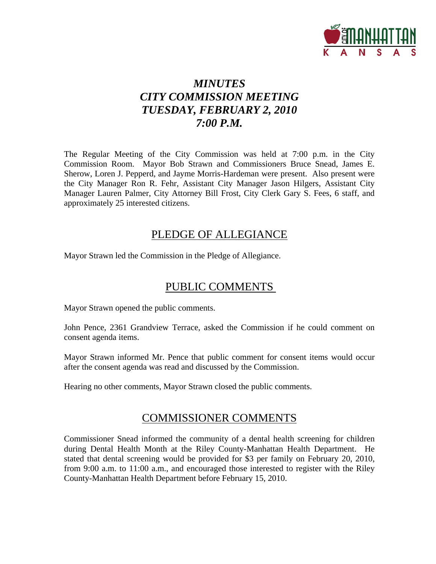

# *MINUTES CITY COMMISSION MEETING TUESDAY, FEBRUARY 2, 2010 7:00 P.M.*

The Regular Meeting of the City Commission was held at 7:00 p.m. in the City Commission Room. Mayor Bob Strawn and Commissioners Bruce Snead, James E. Sherow, Loren J. Pepperd, and Jayme Morris-Hardeman were present. Also present were the City Manager Ron R. Fehr, Assistant City Manager Jason Hilgers, Assistant City Manager Lauren Palmer, City Attorney Bill Frost, City Clerk Gary S. Fees, 6 staff, and approximately 25 interested citizens.

## PLEDGE OF ALLEGIANCE

Mayor Strawn led the Commission in the Pledge of Allegiance.

# PUBLIC COMMENTS

Mayor Strawn opened the public comments.

John Pence, 2361 Grandview Terrace, asked the Commission if he could comment on consent agenda items.

Mayor Strawn informed Mr. Pence that public comment for consent items would occur after the consent agenda was read and discussed by the Commission.

Hearing no other comments, Mayor Strawn closed the public comments.

## COMMISSIONER COMMENTS

Commissioner Snead informed the community of a dental health screening for children during Dental Health Month at the Riley County-Manhattan Health Department. He stated that dental screening would be provided for \$3 per family on February 20, 2010, from 9:00 a.m. to 11:00 a.m., and encouraged those interested to register with the Riley County-Manhattan Health Department before February 15, 2010.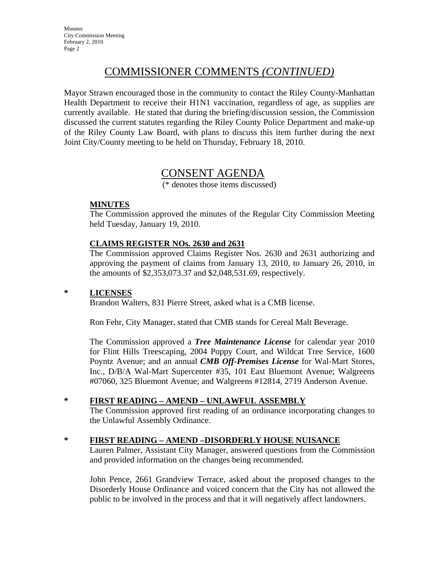# COMMISSIONER COMMENTS *(CONTINUED)*

Mayor Strawn encouraged those in the community to contact the Riley County-Manhattan Health Department to receive their H1N1 vaccination, regardless of age, as supplies are currently available. He stated that during the briefing/discussion session, the Commission discussed the current statutes regarding the Riley County Police Department and make-up of the Riley County Law Board, with plans to discuss this item further during the next Joint City/County meeting to be held on Thursday, February 18, 2010.

## CONSENT AGENDA

(\* denotes those items discussed)

### **MINUTES**

The Commission approved the minutes of the Regular City Commission Meeting held Tuesday, January 19, 2010.

### **CLAIMS REGISTER NOs. 2630 and 2631**

The Commission approved Claims Register Nos. 2630 and 2631 authorizing and approving the payment of claims from January 13, 2010, to January 26, 2010, in the amounts of \$2,353,073.37 and \$2,048,531.69, respectively.

### **\* LICENSES**

Brandon Walters, 831 Pierre Street, asked what is a CMB license.

Ron Fehr, City Manager, stated that CMB stands for Cereal Malt Beverage.

The Commission approved a *Tree Maintenance License* for calendar year 2010 for Flint Hills Treescaping, 2004 Poppy Court, and Wildcat Tree Service, 1600 Poyntz Avenue; and an annual *CMB Off-Premises License* for Wal-Mart Stores, Inc., D/B/A Wal-Mart Supercenter #35, 101 East Bluemont Avenue; Walgreens #07060, 325 Bluemont Avenue; and Walgreens #12814, 2719 Anderson Avenue.

### **\* FIRST READING – AMEND – UNLAWFUL ASSEMBLY**

The Commission approved first reading of an ordinance incorporating changes to the Unlawful Assembly Ordinance.

### **\* FIRST READING – AMEND –DISORDERLY HOUSE NUISANCE**

Lauren Palmer, Assistant City Manager, answered questions from the Commission and provided information on the changes being recommended.

John Pence, 2661 Grandview Terrace, asked about the proposed changes to the Disorderly House Ordinance and voiced concern that the City has not allowed the public to be involved in the process and that it will negatively affect landowners.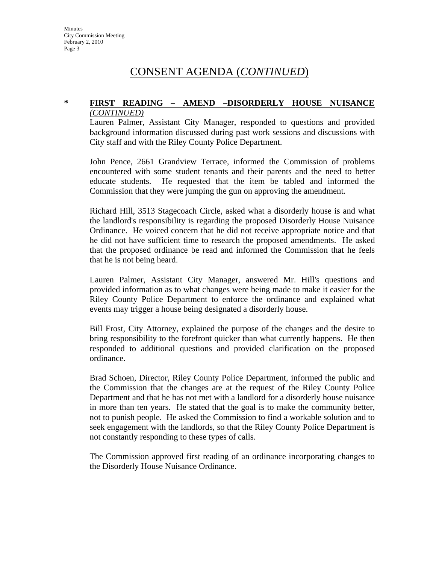# CONSENT AGENDA (*CONTINUED*)

#### **\* FIRST READING – AMEND –DISORDERLY HOUSE NUISANCE** *(CONTINUED)*

Lauren Palmer, Assistant City Manager, responded to questions and provided background information discussed during past work sessions and discussions with City staff and with the Riley County Police Department.

John Pence, 2661 Grandview Terrace, informed the Commission of problems encountered with some student tenants and their parents and the need to better educate students. He requested that the item be tabled and informed the Commission that they were jumping the gun on approving the amendment.

Richard Hill, 3513 Stagecoach Circle, asked what a disorderly house is and what the landlord's responsibility is regarding the proposed Disorderly House Nuisance Ordinance. He voiced concern that he did not receive appropriate notice and that he did not have sufficient time to research the proposed amendments. He asked that the proposed ordinance be read and informed the Commission that he feels that he is not being heard.

Lauren Palmer, Assistant City Manager, answered Mr. Hill's questions and provided information as to what changes were being made to make it easier for the Riley County Police Department to enforce the ordinance and explained what events may trigger a house being designated a disorderly house.

Bill Frost, City Attorney, explained the purpose of the changes and the desire to bring responsibility to the forefront quicker than what currently happens. He then responded to additional questions and provided clarification on the proposed ordinance.

Brad Schoen, Director, Riley County Police Department, informed the public and the Commission that the changes are at the request of the Riley County Police Department and that he has not met with a landlord for a disorderly house nuisance in more than ten years. He stated that the goal is to make the community better, not to punish people. He asked the Commission to find a workable solution and to seek engagement with the landlords, so that the Riley County Police Department is not constantly responding to these types of calls.

The Commission approved first reading of an ordinance incorporating changes to the Disorderly House Nuisance Ordinance.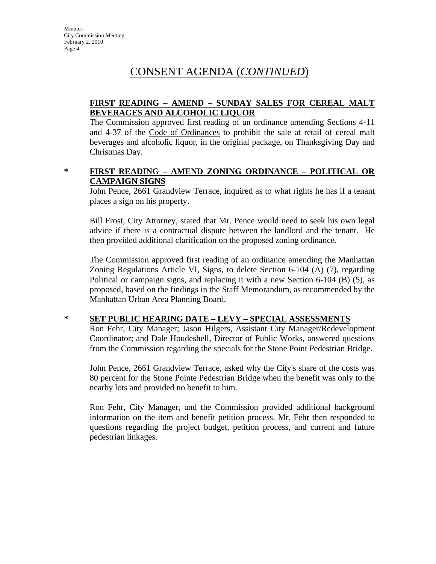# CONSENT AGENDA (*CONTINUED*)

### **FIRST READING – AMEND – SUNDAY SALES FOR CEREAL MALT BEVERAGES AND ALCOHOLIC LIQUOR**

The Commission approved first reading of an ordinance amending Sections 4-11 and 4-37 of the Code of Ordinances to prohibit the sale at retail of cereal malt beverages and alcoholic liquor, in the original package, on Thanksgiving Day and Christmas Day.

#### **\* FIRST READING – AMEND ZONING ORDINANCE – POLITICAL OR CAMPAIGN SIGNS**

John Pence, 2661 Grandview Terrace, inquired as to what rights he has if a tenant places a sign on his property.

Bill Frost, City Attorney, stated that Mr. Pence would need to seek his own legal advice if there is a contractual dispute between the landlord and the tenant. He then provided additional clarification on the proposed zoning ordinance.

The Commission approved first reading of an ordinance amending the Manhattan Zoning Regulations Article VI, Signs, to delete Section 6-104 (A) (7), regarding Political or campaign signs, and replacing it with a new Section 6-104 (B) (5), as proposed, based on the findings in the Staff Memorandum, as recommended by the Manhattan Urban Area Planning Board.

## **\* SET PUBLIC HEARING DATE – LEVY – SPECIAL ASSESSMENTS**

Ron Fehr, City Manager; Jason Hilgers, Assistant City Manager/Redevelopment Coordinator; and Dale Houdeshell, Director of Public Works, answered questions from the Commission regarding the specials for the Stone Point Pedestrian Bridge.

John Pence, 2661 Grandview Terrace, asked why the City's share of the costs was 80 percent for the Stone Pointe Pedestrian Bridge when the benefit was only to the nearby lots and provided no benefit to him.

Ron Fehr, City Manager, and the Commission provided additional background information on the item and benefit petition process. Mr. Fehr then responded to questions regarding the project budget, petition process, and current and future pedestrian linkages.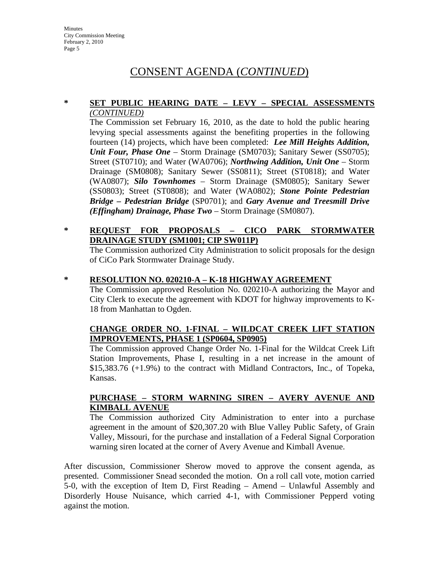# CONSENT AGENDA (*CONTINUED*)

#### **\* SET PUBLIC HEARING DATE – LEVY – SPECIAL ASSESSMENTS** *(CONTINUED)*

The Commission set February 16, 2010, as the date to hold the public hearing levying special assessments against the benefiting properties in the following fourteen (14) projects, which have been completed: *Lee Mill Heights Addition, Unit Four, Phase One* – Storm Drainage (SM0703); Sanitary Sewer (SS0705); Street (ST0710); and Water (WA0706); *Northwing Addition, Unit One* – Storm Drainage (SM0808); Sanitary Sewer (SS0811); Street (ST0818); and Water (WA0807); *Silo Townhomes* – Storm Drainage (SM0805); Sanitary Sewer (SS0803); Street (ST0808); and Water (WA0802); *Stone Pointe Pedestrian Bridge – Pedestrian Bridge* (SP0701); and *Gary Avenue and Treesmill Drive (Effingham) Drainage, Phase Two* – Storm Drainage (SM0807).

### **\* REQUEST FOR PROPOSALS – CICO PARK STORMWATER DRAINAGE STUDY (SM1001; CIP SW011P)**

The Commission authorized City Administration to solicit proposals for the design of CiCo Park Stormwater Drainage Study.

#### **\* RESOLUTION NO. 020210-A – K-18 HIGHWAY AGREEMENT**

The Commission approved Resolution No. 020210-A authorizing the Mayor and City Clerk to execute the agreement with KDOT for highway improvements to K-18 from Manhattan to Ogden.

#### **CHANGE ORDER NO. 1-FINAL – WILDCAT CREEK LIFT STATION IMPROVEMENTS, PHASE 1 (SP0604, SP0905)**

The Commission approved Change Order No. 1-Final for the Wildcat Creek Lift Station Improvements, Phase I, resulting in a net increase in the amount of \$15,383.76 (+1.9%) to the contract with Midland Contractors, Inc., of Topeka, Kansas.

#### **PURCHASE – STORM WARNING SIREN – AVERY AVENUE AND KIMBALL AVENUE**

The Commission authorized City Administration to enter into a purchase agreement in the amount of \$20,307.20 with Blue Valley Public Safety, of Grain Valley, Missouri, for the purchase and installation of a Federal Signal Corporation warning siren located at the corner of Avery Avenue and Kimball Avenue.

After discussion, Commissioner Sherow moved to approve the consent agenda, as presented. Commissioner Snead seconded the motion. On a roll call vote, motion carried 5-0, with the exception of Item D, First Reading – Amend – Unlawful Assembly and Disorderly House Nuisance, which carried 4-1, with Commissioner Pepperd voting against the motion.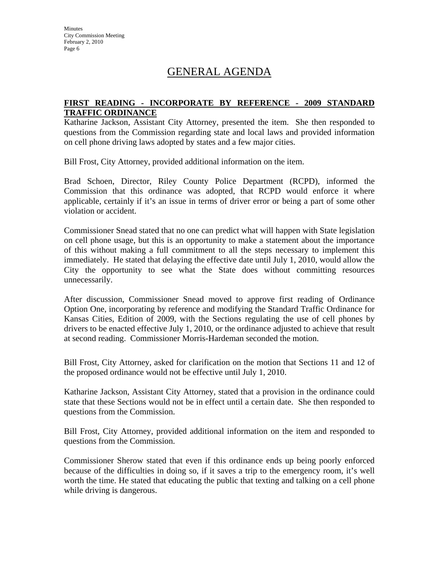# GENERAL AGENDA

#### **FIRST READING - INCORPORATE BY REFERENCE - 2009 STANDARD TRAFFIC ORDINANCE**

Katharine Jackson, Assistant City Attorney, presented the item. She then responded to questions from the Commission regarding state and local laws and provided information on cell phone driving laws adopted by states and a few major cities.

Bill Frost, City Attorney, provided additional information on the item.

Brad Schoen, Director, Riley County Police Department (RCPD), informed the Commission that this ordinance was adopted, that RCPD would enforce it where applicable, certainly if it's an issue in terms of driver error or being a part of some other violation or accident.

Commissioner Snead stated that no one can predict what will happen with State legislation on cell phone usage, but this is an opportunity to make a statement about the importance of this without making a full commitment to all the steps necessary to implement this immediately. He stated that delaying the effective date until July 1, 2010, would allow the City the opportunity to see what the State does without committing resources unnecessarily.

After discussion, Commissioner Snead moved to approve first reading of Ordinance Option One, incorporating by reference and modifying the Standard Traffic Ordinance for Kansas Cities, Edition of 2009, with the Sections regulating the use of cell phones by drivers to be enacted effective July 1, 2010, or the ordinance adjusted to achieve that result at second reading. Commissioner Morris-Hardeman seconded the motion.

Bill Frost, City Attorney, asked for clarification on the motion that Sections 11 and 12 of the proposed ordinance would not be effective until July 1, 2010.

Katharine Jackson, Assistant City Attorney, stated that a provision in the ordinance could state that these Sections would not be in effect until a certain date. She then responded to questions from the Commission.

Bill Frost, City Attorney, provided additional information on the item and responded to questions from the Commission.

Commissioner Sherow stated that even if this ordinance ends up being poorly enforced because of the difficulties in doing so, if it saves a trip to the emergency room, it's well worth the time. He stated that educating the public that texting and talking on a cell phone while driving is dangerous.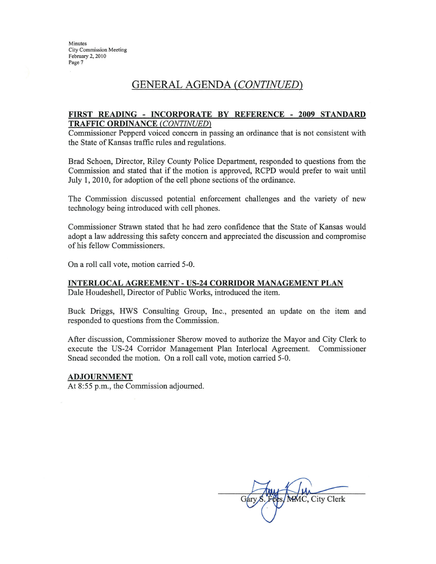## **GENERAL AGENDA (CONTINUED)**

#### FIRST READING - INCORPORATE BY REFERENCE - 2009 STANDARD **TRAFFIC ORDINANCE (CONTINUED)**

Commissioner Pepperd voiced concern in passing an ordinance that is not consistent with the State of Kansas traffic rules and regulations.

Brad Schoen, Director, Riley County Police Department, responded to questions from the Commission and stated that if the motion is approved, RCPD would prefer to wait until July 1, 2010, for adoption of the cell phone sections of the ordinance.

The Commission discussed potential enforcement challenges and the variety of new technology being introduced with cell phones.

Commissioner Strawn stated that he had zero confidence that the State of Kansas would adopt a law addressing this safety concern and appreciated the discussion and compromise of his fellow Commissioners.

On a roll call vote, motion carried 5-0.

#### **INTERLOCAL AGREEMENT - US-24 CORRIDOR MANAGEMENT PLAN** Dale Houdeshell, Director of Public Works, introduced the item.

Buck Driggs, HWS Consulting Group, Inc., presented an update on the item and responded to questions from the Commission.

After discussion, Commissioner Sherow moved to authorize the Mayor and City Clerk to execute the US-24 Corridor Management Plan Interlocal Agreement. Commissioner Snead seconded the motion. On a roll call vote, motion carried 5-0.

#### **ADJOURNMENT**

At 8:55 p.m., the Commission adjourned.

MMC, City Clerk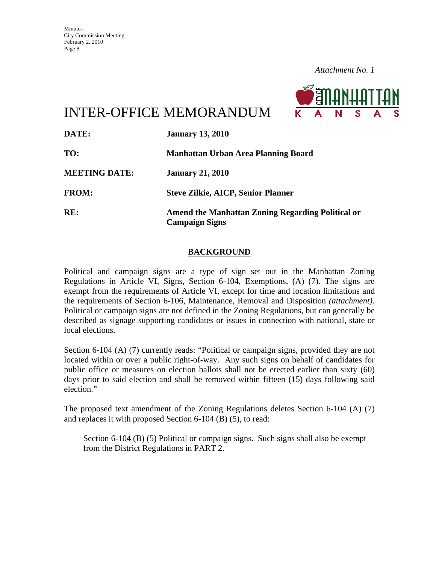

INTER-OFFICE MEMORANDUM

| DATE:                | <b>January 13, 2010</b>                                                    |
|----------------------|----------------------------------------------------------------------------|
| TO:                  | Manhattan Urban Area Planning Board                                        |
| <b>MEETING DATE:</b> | <b>January 21, 2010</b>                                                    |
| <b>FROM:</b>         | <b>Steve Zilkie, AICP, Senior Planner</b>                                  |
| RE:                  | Amend the Manhattan Zoning Regarding Political or<br><b>Campaign Signs</b> |

### **BACKGROUND**

Political and campaign signs are a type of sign set out in the Manhattan Zoning Regulations in Article VI, Signs, Section 6-104, Exemptions, (A) (7). The signs are exempt from the requirements of Article VI, except for time and location limitations and the requirements of Section 6-106, Maintenance, Removal and Disposition *(attachment)*. Political or campaign signs are not defined in the Zoning Regulations, but can generally be described as signage supporting candidates or issues in connection with national, state or local elections.

Section 6-104 (A) (7) currently reads: "Political or campaign signs, provided they are not located within or over a public right-of-way. Any such signs on behalf of candidates for public office or measures on election ballots shall not be erected earlier than sixty (60) days prior to said election and shall be removed within fifteen (15) days following said election."

The proposed text amendment of the Zoning Regulations deletes Section 6-104 (A) (7) and replaces it with proposed Section 6-104 (B) (5), to read:

Section 6-104 (B) (5) Political or campaign signs. Such signs shall also be exempt from the District Regulations in PART 2.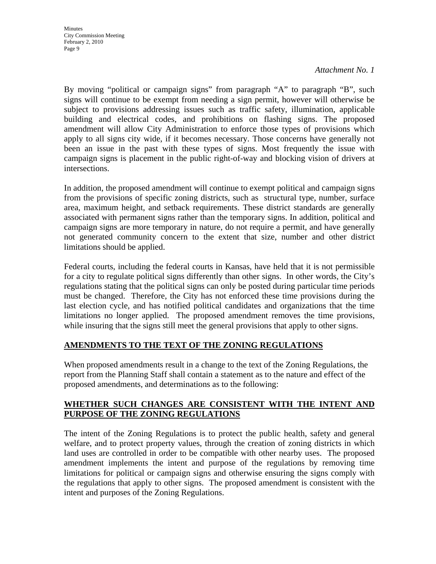*Attachment No. 1*

By moving "political or campaign signs" from paragraph "A" to paragraph "B", such signs will continue to be exempt from needing a sign permit, however will otherwise be subject to provisions addressing issues such as traffic safety, illumination, applicable building and electrical codes, and prohibitions on flashing signs. The proposed amendment will allow City Administration to enforce those types of provisions which apply to all signs city wide, if it becomes necessary. Those concerns have generally not been an issue in the past with these types of signs. Most frequently the issue with campaign signs is placement in the public right-of-way and blocking vision of drivers at intersections.

In addition, the proposed amendment will continue to exempt political and campaign signs from the provisions of specific zoning districts, such as structural type, number, surface area, maximum height, and setback requirements. These district standards are generally associated with permanent signs rather than the temporary signs. In addition, political and campaign signs are more temporary in nature, do not require a permit, and have generally not generated community concern to the extent that size, number and other district limitations should be applied.

Federal courts, including the federal courts in Kansas, have held that it is not permissible for a city to regulate political signs differently than other signs. In other words, the City's regulations stating that the political signs can only be posted during particular time periods must be changed. Therefore, the City has not enforced these time provisions during the last election cycle, and has notified political candidates and organizations that the time limitations no longer applied. The proposed amendment removes the time provisions, while insuring that the signs still meet the general provisions that apply to other signs.

### **AMENDMENTS TO THE TEXT OF THE ZONING REGULATIONS**

When proposed amendments result in a change to the text of the Zoning Regulations, the report from the Planning Staff shall contain a statement as to the nature and effect of the proposed amendments, and determinations as to the following:

### **WHETHER SUCH CHANGES ARE CONSISTENT WITH THE INTENT AND PURPOSE OF THE ZONING REGULATIONS**

The intent of the Zoning Regulations is to protect the public health, safety and general welfare, and to protect property values, through the creation of zoning districts in which land uses are controlled in order to be compatible with other nearby uses. The proposed amendment implements the intent and purpose of the regulations by removing time limitations for political or campaign signs and otherwise ensuring the signs comply with the regulations that apply to other signs. The proposed amendment is consistent with the intent and purposes of the Zoning Regulations.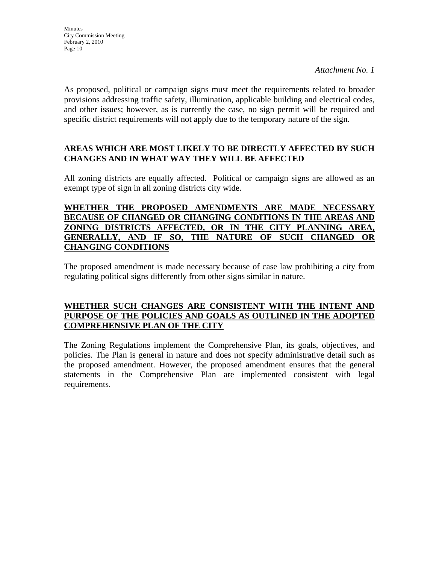As proposed, political or campaign signs must meet the requirements related to broader provisions addressing traffic safety, illumination, applicable building and electrical codes, and other issues; however, as is currently the case, no sign permit will be required and specific district requirements will not apply due to the temporary nature of the sign.

### **AREAS WHICH ARE MOST LIKELY TO BE DIRECTLY AFFECTED BY SUCH CHANGES AND IN WHAT WAY THEY WILL BE AFFECTED**

All zoning districts are equally affected. Political or campaign signs are allowed as an exempt type of sign in all zoning districts city wide.

### **WHETHER THE PROPOSED AMENDMENTS ARE MADE NECESSARY BECAUSE OF CHANGED OR CHANGING CONDITIONS IN THE AREAS AND ZONING DISTRICTS AFFECTED, OR IN THE CITY PLANNING AREA, GENERALLY, AND IF SO, THE NATURE OF SUCH CHANGED OR CHANGING CONDITIONS**

The proposed amendment is made necessary because of case law prohibiting a city from regulating political signs differently from other signs similar in nature.

### **WHETHER SUCH CHANGES ARE CONSISTENT WITH THE INTENT AND PURPOSE OF THE POLICIES AND GOALS AS OUTLINED IN THE ADOPTED COMPREHENSIVE PLAN OF THE CITY**

The Zoning Regulations implement the Comprehensive Plan, its goals, objectives, and policies. The Plan is general in nature and does not specify administrative detail such as the proposed amendment. However, the proposed amendment ensures that the general statements in the Comprehensive Plan are implemented consistent with legal requirements.